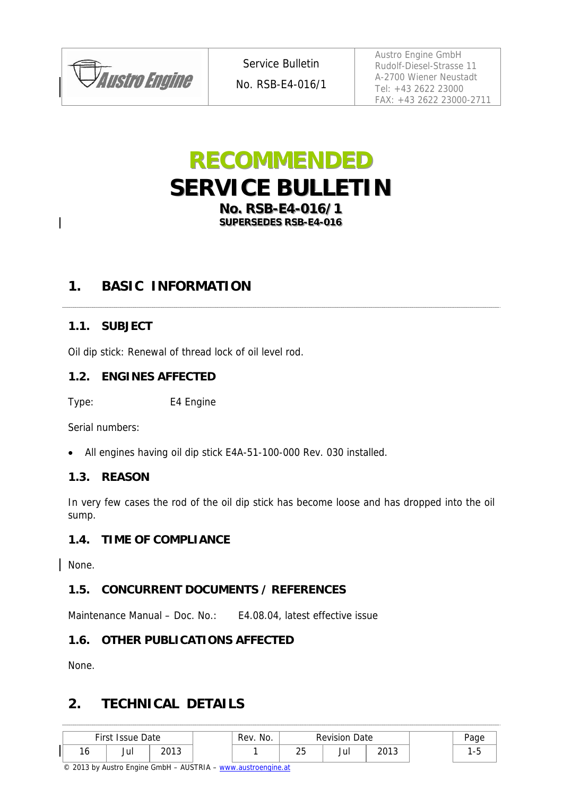

Service Bulletin

No. RSB-E4-016/1

Austro Engine GmbH Rudolf-Diesel-Strasse 11 A-2700 Wiener Neustadt Tel: +43 2622 23000 FAX: +43 2622 23000-2711

# **RECOMMENDED SERVICE BULLETIN No. RSB-E4-016/1 SUPERSEDES RSB-E4-016**

## **1. BASIC INFORMATION**

### **1.1. SUBJECT**

Oil dip stick: Renewal of thread lock of oil level rod.

#### **1.2. ENGINES AFFECTED**

Type: E4 Engine

Serial numbers:

All engines having oil dip stick E4A-51-100-000 Rev. 030 installed.

#### **1.3. REASON**

In very few cases the rod of the oil dip stick has become loose and has dropped into the oil sump.

#### **1.4. TIME OF COMPLIANCE**

None.

#### **1.5. CONCURRENT DOCUMENTS / REFERENCES**

Maintenance Manual – Doc. No.: E4.08.04, latest effective issue

#### **1.6. OTHER PUBLICATIONS AFFECTED**

None.

## **2. TECHNICAL DETAILS**

| First<br><b>Issue Date</b> |     | No.<br>Rev. | <b>Revision Date</b> |                           |     | Page |  |
|----------------------------|-----|-------------|----------------------|---------------------------|-----|------|--|
| 10                         | Jul | າດ1າ        |                      | $\sim$ $\sim$<br><u>~</u> | Jul | 2012 |  |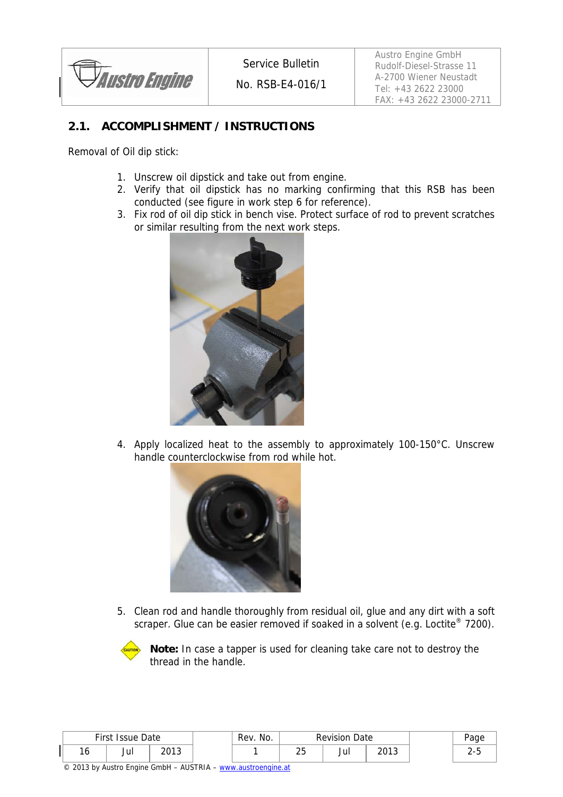*Austro Engine* 

No. RSB-E4-016/1

Austro Engine GmbH Rudolf-Diesel-Strasse 11 A-2700 Wiener Neustadt Tel: +43 2622 23000 FAX: +43 2622 23000-2711

### **2.1. ACCOMPLISHMENT / INSTRUCTIONS**

Removal of Oil dip stick:

- 1. Unscrew oil dipstick and take out from engine.
- 2. Verify that oil dipstick has no marking confirming that this RSB has been conducted (see figure in work step 6 for reference).
- 3. Fix rod of oil dip stick in bench vise. Protect surface of rod to prevent scratches or similar resulting from the next work steps.



4. Apply localized heat to the assembly to approximately 100-150°C. Unscrew handle counterclockwise from rod while hot.



5. Clean rod and handle thoroughly from residual oil, glue and any dirt with a soft scraper. Glue can be easier removed if soaked in a solvent (e.g. Loctite<sup>®</sup> 7200).



**Note:** In case a tapper is used for cleaning take care not to destroy the thread in the handle.

| First Issue Date |     | No.<br>Rev.    | <b>Revision Date</b> |                   |     | 'aae |   |
|------------------|-----|----------------|----------------------|-------------------|-----|------|---|
| ιv               | Jur | າດາ າ<br>59. ت |                      | $\cap$<br>້<br>__ | Jul | 2013 | - |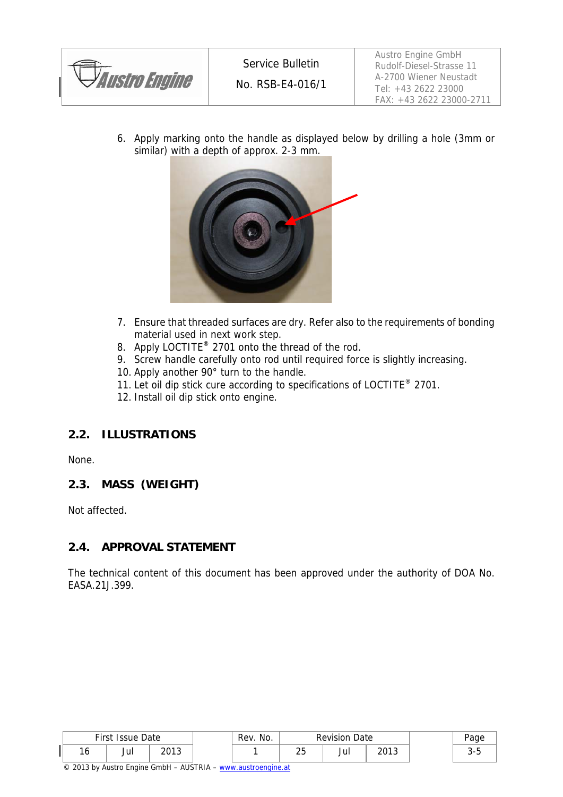

Austro Engine GmbH Rudolf-Diesel-Strasse 11 A-2700 Wiener Neustadt Tel: +43 2622 23000 FAX: +43 2622 23000-2711

6. Apply marking onto the handle as displayed below by drilling a hole (3mm or similar) with a depth of approx. 2-3 mm.



- 7. Ensure that threaded surfaces are dry. Refer also to the requirements of bonding material used in next work step.
- 8. Apply LOCTITE® 2701 onto the thread of the rod.
- 9. Screw handle carefully onto rod until required force is slightly increasing.
- 10. Apply another 90° turn to the handle.
- 11. Let oil dip stick cure according to specifications of LOCTITE<sup>®</sup> 2701.
- 12. Install oil dip stick onto engine.

### **2.2. ILLUSTRATIONS**

None.

#### **2.3. MASS (WEIGHT)**

Not affected.

#### **2.4. APPROVAL STATEMENT**

The technical content of this document has been approved under the authority of DOA No. EASA.21J.399.

| First Issue Date |     | Rev. No. | <b>Revision Date</b> |                          |     | aae            |   |
|------------------|-----|----------|----------------------|--------------------------|-----|----------------|---|
| 10               | Jul | າດ1າ     |                      | $\sim$ $\sim$<br>້<br>-- | Ju. | าก1ว<br>20 I J | ັ |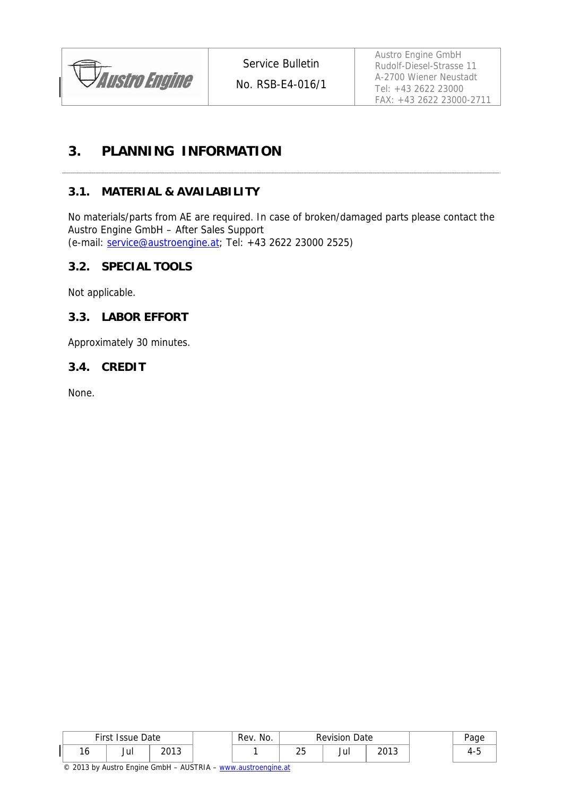

No. RSB-E4-016/1

Austro Engine GmbH Rudolf-Diesel-Strasse 11 A-2700 Wiener Neustadt Tel: +43 2622 23000 FAX: +43 2622 23000-2711

## **3. PLANNING INFORMATION**

#### **3.1. MATERIAL & AVAILABILITY**

No materials/parts from AE are required. In case of broken/damaged parts please contact the Austro Engine GmbH – After Sales Support (e-mail: service@austroengine.at; Tel: +43 2622 23000 2525)

#### **3.2. SPECIAL TOOLS**

Not applicable.

#### **3.3. LABOR EFFORT**

Approximately 30 minutes.

#### **3.4. CREDIT**

None.

|     | First Issue Date |                 | No.<br>Rev. | <b>Revision</b><br>Date |     | ∙aɑe           |  |
|-----|------------------|-----------------|-------------|-------------------------|-----|----------------|--|
| ں ، | Jul              | ากา า<br>zu i j |             | ົ<br><u>~</u>           | Jui | วกาว<br>ل ا ∪∡ |  |